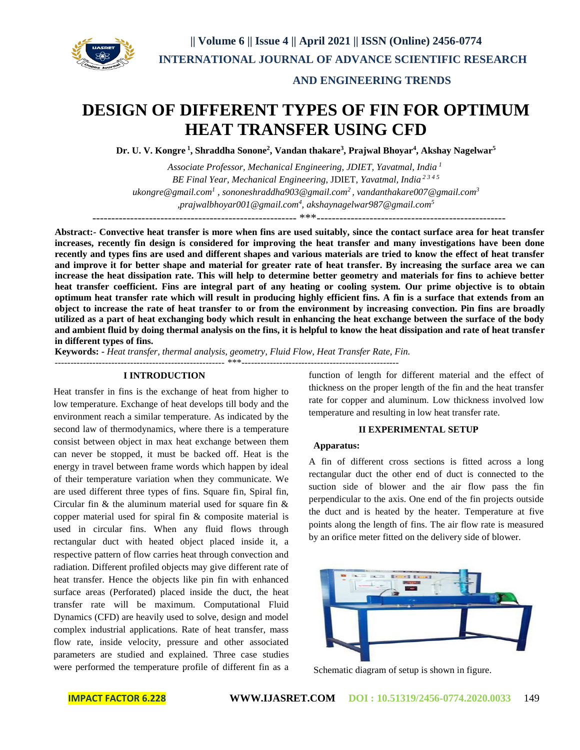

#### **AND ENGINEERING TRENDS**

# **DESIGN OF DIFFERENT TYPES OF FIN FOR OPTIMUM HEAT TRANSFER USING CFD**

**Dr. U. V. Kongre <sup>1</sup> , Shraddha Sonone<sup>2</sup> , Vandan thakare<sup>3</sup> , Prajwal Bhoyar<sup>4</sup> , Akshay Nagelwar<sup>5</sup>**

*Associate Professor, Mechanical Engineering, JDIET, Yavatmal, India <sup>1</sup> BE Final Year, Mechanical Engineering*, JDIET, *Yavatmal, India 2 3 4 5 [ukongre@gmail.com](mailto:ukongre@gmail.com1)<sup>1</sup> [, sononeshraddha903@gmail.com](mailto:sononeshraddha903@gmail.com2)<sup>2</sup> [, vandanthakare007@gmail.com](mailto:vandanthakare007@gmail.com3)<sup>3</sup> [,prajwalbhoyar001@gmail.com](mailto:prajwalbhoyar001@gmail.com)<sup>4</sup> , [akshaynagelwar987@gmail.com](mailto:akshaynagelwar987@gmail.com5)<sup>5</sup>*

------------------------------------------------------ \*\*\*--------------------------------------------------

**Abstract:- Convective heat transfer is more when fins are used suitably, since the contact surface area for heat transfer increases, recently fin design is considered for improving the heat transfer and many investigations have been done recently and types fins are used and different shapes and various materials are tried to know the effect of heat transfer and improve it for better shape and material for greater rate of heat transfer. By increasing the surface area we can increase the heat dissipation rate. This will help to determine better geometry and materials for fins to achieve better heat transfer coefficient. Fins are integral part of any heating or cooling system. Our prime objective is to obtain optimum heat transfer rate which will result in producing highly efficient fins. A fin is a surface that extends from an object to increase the rate of heat transfer to or from the environment by increasing convection. Pin fins are broadly utilized as a part of heat exchanging body which result in enhancing the heat exchange between the surface of the body and ambient fluid by doing thermal analysis on the fins, it is helpful to know the heat dissipation and rate of heat transfer in different types of fins.**

**Keywords: -** *Heat transfer, thermal analysis, geometry, Fluid Flow, Heat Transfer Rate, Fin.*

------------------------------------------------------ \*\*\*--------------------------------------------------

#### **I INTRODUCTION**

Heat transfer in fins is the exchange of heat from higher to low temperature. Exchange of heat develops till body and the environment reach a similar temperature. As indicated by the second law of thermodynamics, where there is a temperature consist between object in max heat exchange between them can never be stopped, it must be backed off. Heat is the energy in travel between frame words which happen by ideal of their temperature variation when they communicate. We are used different three types of fins. Square fin, Spiral fin, Circular fin & the aluminum material used for square fin & copper material used for spiral fin & composite material is used in circular fins. When any fluid flows through rectangular duct with heated object placed inside it, a respective pattern of flow carries heat through convection and radiation. Different profiled objects may give different rate of heat transfer. Hence the objects like pin fin with enhanced surface areas (Perforated) placed inside the duct, the heat transfer rate will be maximum. Computational Fluid Dynamics (CFD) are heavily used to solve, design and model complex industrial applications. Rate of heat transfer, mass flow rate, inside velocity, pressure and other associated parameters are studied and explained. Three case studies were performed the temperature profile of different fin as a

function of length for different material and the effect of thickness on the proper length of the fin and the heat transfer rate for copper and aluminum. Low thickness involved low temperature and resulting in low heat transfer rate.

#### **II EXPERIMENTAL SETUP**

#### **Apparatus:**

A fin of different cross sections is fitted across a long rectangular duct the other end of duct is connected to the suction side of blower and the air flow pass the fin perpendicular to the axis. One end of the fin projects outside the duct and is heated by the heater. Temperature at five points along the length of fins. The air flow rate is measured by an orifice meter fitted on the delivery side of blower.



Schematic diagram of setup is shown in figure.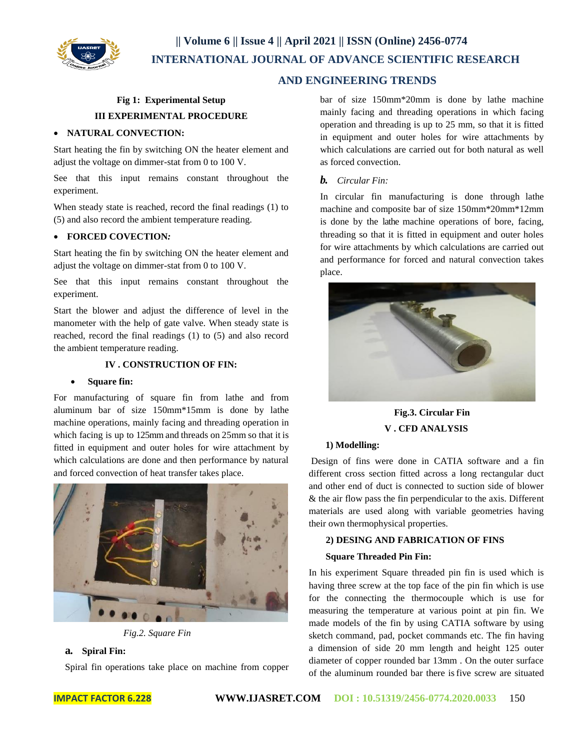

# **|| Volume 6 || Issue 4 || April 2021 || ISSN (Online) 2456-0774 INTERNATIONAL JOURNAL OF ADVANCE SCIENTIFIC RESEARCH**

## **AND ENGINEERING TRENDS**

# **Fig 1: Experimental Setup III EXPERIMENTAL PROCEDURE**

#### **NATURAL CONVECTION:**

Start heating the fin by switching ON the heater element and adjust the voltage on dimmer-stat from 0 to 100 V.

See that this input remains constant throughout the experiment.

When steady state is reached, record the final readings (1) to (5) and also record the ambient temperature reading.

#### **FORCED COVECTION***:*

Start heating the fin by switching ON the heater element and adjust the voltage on dimmer-stat from 0 to 100 V.

See that this input remains constant throughout the experiment.

Start the blower and adjust the difference of level in the manometer with the help of gate valve. When steady state is reached, record the final readings (1) to (5) and also record the ambient temperature reading.

### **IV . CONSTRUCTION OF FIN:**

#### **Square fin:**

For manufacturing of square fin from lathe and from aluminum bar of size 150mm\*15mm is done by lathe machine operations, mainly facing and threading operation in which facing is up to 125mm and threads on 25mm so that it is fitted in equipment and outer holes for wire attachment by which calculations are done and then performance by natural and forced convection of heat transfer takes place.



*Fig.2. Square Fin*

### **a. Spiral Fin:**

Spiral fin operations take place on machine from copper

bar of size 150mm\*20mm is done by lathe machine mainly facing and threading operations in which facing operation and threading is up to 25 mm, so that it is fitted in equipment and outer holes for wire attachments by which calculations are carried out for both natural as well as forced convection.

#### *b. Circular Fin:*

In circular fin manufacturing is done through lathe machine and composite bar of size 150mm\*20mm\*12mm is done by the lathe machine operations of bore, facing, threading so that it is fitted in equipment and outer holes for wire attachments by which calculations are carried out and performance for forced and natural convection takes place.



**Fig.3. Circular Fin V . CFD ANALYSIS**

#### **1) Modelling:**

Design of fins were done in CATIA software and a fin different cross section fitted across a long rectangular duct and other end of duct is connected to suction side of blower & the air flow pass the fin perpendicular to the axis. Different materials are used along with variable geometries having their own thermophysical properties.

#### **2) DESING AND FABRICATION OF FINS**

#### **Square Threaded Pin Fin:**

In his experiment Square threaded pin fin is used which is having three screw at the top face of the pin fin which is use for the connecting the thermocouple which is use for measuring the temperature at various point at pin fin. We made models of the fin by using CATIA software by using sketch command, pad, pocket commands etc. The fin having a dimension of side 20 mm length and height 125 outer diameter of copper rounded bar 13mm . On the outer surface of the aluminum rounded bar there isfive screw are situated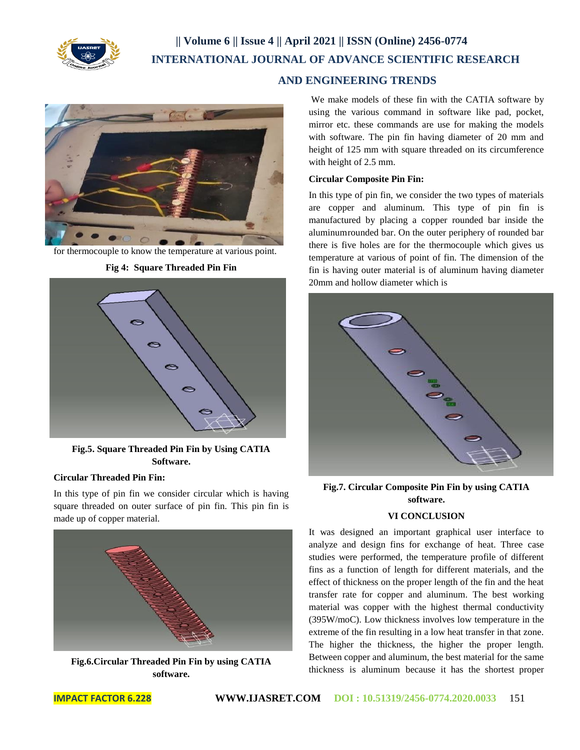

# **|| Volume 6 || Issue 4 || April 2021 || ISSN (Online) 2456-0774 INTERNATIONAL JOURNAL OF ADVANCE SCIENTIFIC RESEARCH**

# **AND ENGINEERING TRENDS**



for thermocouple to know the temperature at various point.



**Fig 4: Square Threaded Pin Fin**

**Fig.5. Square Threaded Pin Fin by Using CATIA Software.**

#### **Circular Threaded Pin Fin:**

In this type of pin fin we consider circular which is having square threaded on outer surface of pin fin. This pin fin is made up of copper material.



**Fig.6.Circular Threaded Pin Fin by using CATIA software.**

We make models of these fin with the CATIA software by using the various command in software like pad, pocket, mirror etc. these commands are use for making the models with software. The pin fin having diameter of 20 mm and height of 125 mm with square threaded on its circumference with height of 2.5 mm.

#### **Circular Composite Pin Fin:**

In this type of pin fin, we consider the two types of materials are copper and aluminum. This type of pin fin is manufactured by placing a copper rounded bar inside the aluminumrounded bar. On the outer periphery of rounded bar there is five holes are for the thermocouple which gives us temperature at various of point of fin. The dimension of the fin is having outer material is of aluminum having diameter 20mm and hollow diameter which is



**Fig.7. Circular Composite Pin Fin by using CATIA software.**

## **VI CONCLUSION**

It was designed an important graphical user interface to analyze and design fins for exchange of heat. Three case studies were performed, the temperature profile of different fins as a function of length for different materials, and the effect of thickness on the proper length of the fin and the heat transfer rate for copper and aluminum. The best working material was copper with the highest thermal conductivity (395W/moC). Low thickness involves low temperature in the extreme of the fin resulting in a low heat transfer in that zone. The higher the thickness, the higher the proper length. Between copper and aluminum, the best material for the same thickness is aluminum because it has the shortest proper